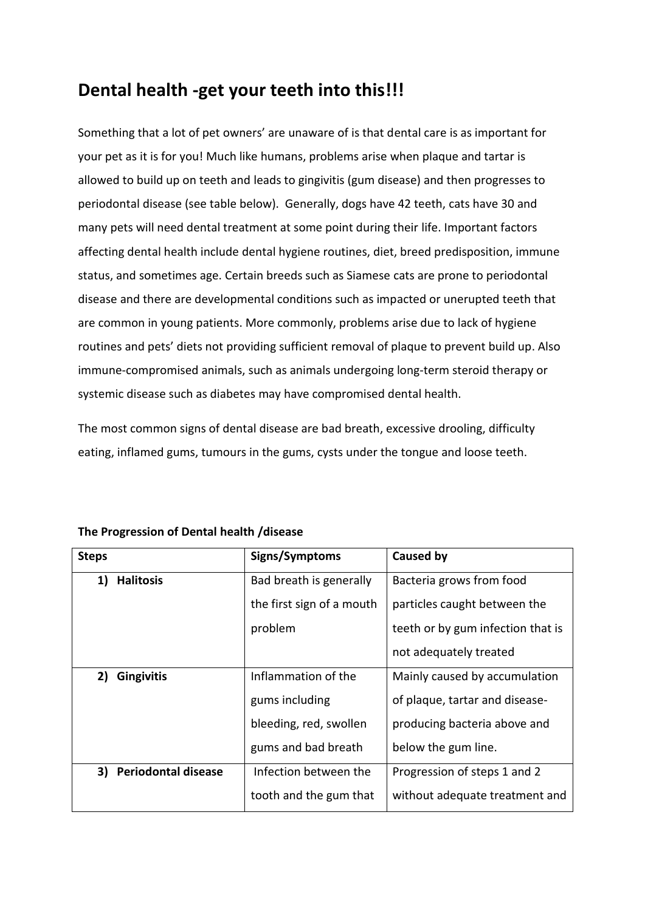## **Dental health -get your teeth into this!!!**

Something that a lot of pet owners' are unaware of is that dental care is as important for your pet as it is for you! Much like humans, problems arise when plaque and tartar is allowed to build up on teeth and leads to gingivitis (gum disease) and then progresses to periodontal disease (see table below). Generally, dogs have 42 teeth, cats have 30 and many pets will need dental treatment at some point during their life. Important factors affecting dental health include dental hygiene routines, diet, breed predisposition, immune status, and sometimes age. Certain breeds such as Siamese cats are prone to periodontal disease and there are developmental conditions such as impacted or unerupted teeth that are common in young patients. More commonly, problems arise due to lack of hygiene routines and pets' diets not providing sufficient removal of plaque to prevent build up. Also immune-compromised animals, such as animals undergoing long-term steroid therapy or systemic disease such as diabetes may have compromised dental health.

The most common signs of dental disease are bad breath, excessive drooling, difficulty eating, inflamed gums, tumours in the gums, cysts under the tongue and loose teeth.

| <b>Steps</b>                     | Signs/Symptoms            | Caused by                         |
|----------------------------------|---------------------------|-----------------------------------|
| 1)<br><b>Halitosis</b>           | Bad breath is generally   | Bacteria grows from food          |
|                                  | the first sign of a mouth | particles caught between the      |
|                                  | problem                   | teeth or by gum infection that is |
|                                  |                           | not adequately treated            |
| 2)<br><b>Gingivitis</b>          | Inflammation of the       | Mainly caused by accumulation     |
|                                  | gums including            | of plaque, tartar and disease-    |
|                                  | bleeding, red, swollen    | producing bacteria above and      |
|                                  | gums and bad breath       | below the gum line.               |
| <b>Periodontal disease</b><br>3) | Infection between the     | Progression of steps 1 and 2      |
|                                  | tooth and the gum that    | without adequate treatment and    |

**The Progression of Dental health /disease**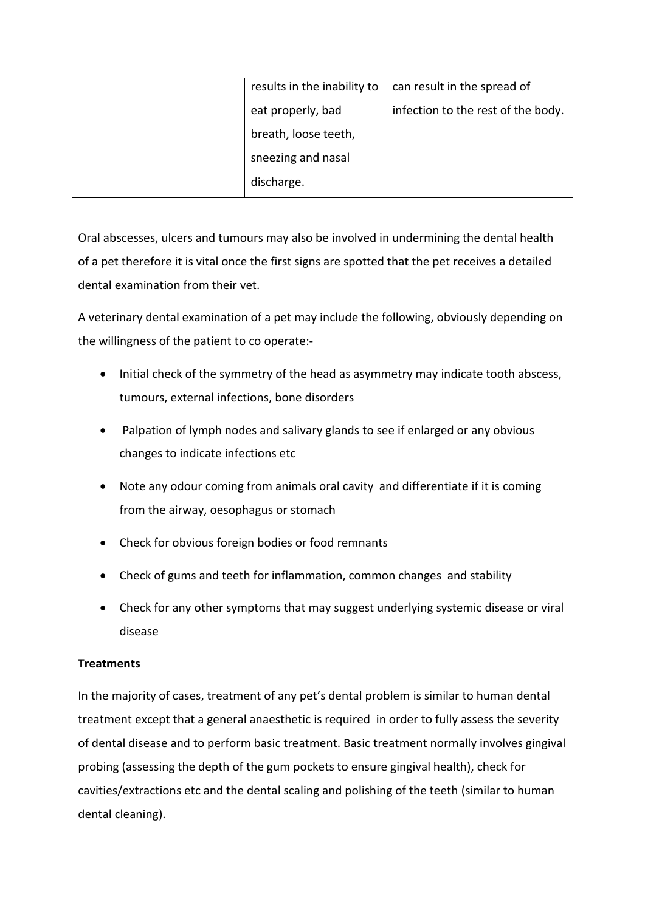| results in the inability to | can result in the spread of        |
|-----------------------------|------------------------------------|
| eat properly, bad           | infection to the rest of the body. |
| breath, loose teeth,        |                                    |
| sneezing and nasal          |                                    |
| discharge.                  |                                    |

Oral abscesses, ulcers and tumours may also be involved in undermining the dental health of a pet therefore it is vital once the first signs are spotted that the pet receives a detailed dental examination from their vet.

A veterinary dental examination of a pet may include the following, obviously depending on the willingness of the patient to co operate:-

- Initial check of the symmetry of the head as asymmetry may indicate tooth abscess, tumours, external infections, bone disorders
- Palpation of lymph nodes and salivary glands to see if enlarged or any obvious changes to indicate infections etc
- Note any odour coming from animals oral cavity and differentiate if it is coming from the airway, oesophagus or stomach
- Check for obvious foreign bodies or food remnants
- Check of gums and teeth for inflammation, common changes and stability
- Check for any other symptoms that may suggest underlying systemic disease or viral disease

## **Treatments**

In the majority of cases, treatment of any pet's dental problem is similar to human dental treatment except that a general anaesthetic is required in order to fully assess the severity of dental disease and to perform basic treatment. Basic treatment normally involves gingival probing (assessing the depth of the gum pockets to ensure gingival health), check for cavities/extractions etc and the dental scaling and polishing of the teeth (similar to human dental cleaning).